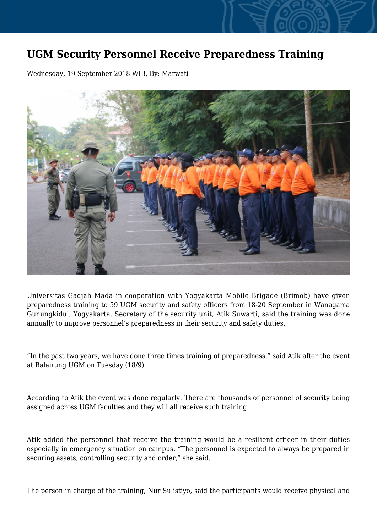## **UGM Security Personnel Receive Preparedness Training**

Wednesday, 19 September 2018 WIB, By: Marwati



Universitas Gadjah Mada in cooperation with Yogyakarta Mobile Brigade (Brimob) have given preparedness training to 59 UGM security and safety officers from 18-20 September in Wanagama Gunungkidul, Yogyakarta. Secretary of the security unit, Atik Suwarti, said the training was done annually to improve personnel's preparedness in their security and safety duties.

"In the past two years, we have done three times training of preparedness," said Atik after the event at Balairung UGM on Tuesday (18/9).

According to Atik the event was done regularly. There are thousands of personnel of security being assigned across UGM faculties and they will all receive such training.

Atik added the personnel that receive the training would be a resilient officer in their duties especially in emergency situation on campus. "The personnel is expected to always be prepared in securing assets, controlling security and order," she said.

The person in charge of the training, Nur Sulistiyo, said the participants would receive physical and